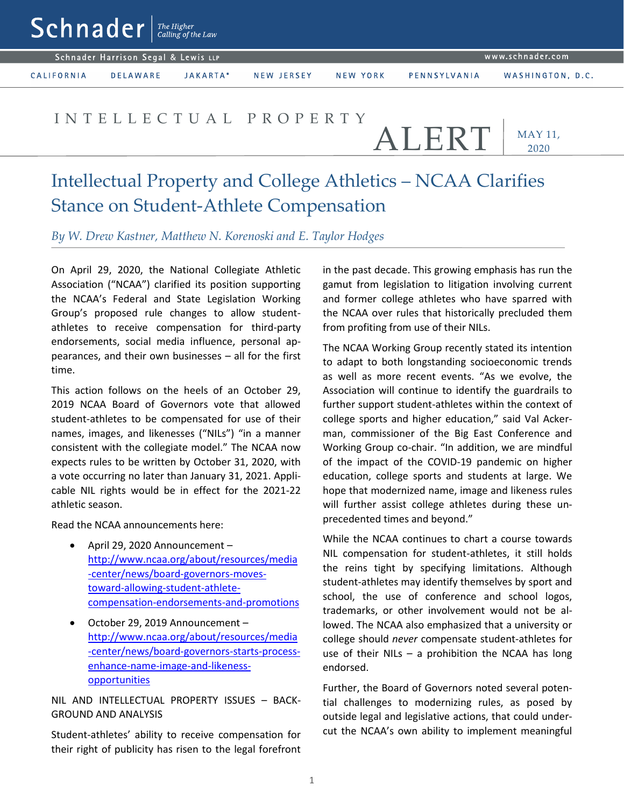$\mathsf{Sch}$ nader  $\vert$ <sup>The Higher</sup>

Schnader Harrison Segal & Lewis LLP

CALIFORNIA

**DELAWARE** JAKARTA\* NEW JERSEY

NEW YORK

WASHINGTON, D.C.

## I N T E L L E C T U A L P R O P E R T Y

ALERT

PENNSYLVANIA

MAY 11, 2020

## Intellectual Property and College Athletics – NCAA Clarifies Stance on Student-Athlete Compensation

*By W. Drew Kastner, Matthew N. Korenoski and E. Taylor Hodges*

On April 29, 2020, the National Collegiate Athletic Association ("NCAA") clarified its position supporting the NCAA's Federal and State Legislation Working Group's proposed rule changes to allow studentathletes to receive compensation for third-party endorsements, social media influence, personal appearances, and their own businesses – all for the first time.

This action follows on the heels of an October 29, 2019 NCAA Board of Governors vote that allowed student-athletes to be compensated for use of their names, images, and likenesses ("NILs") "in a manner consistent with the collegiate model." The NCAA now expects rules to be written by October 31, 2020, with a vote occurring no later than January 31, 2021. Applicable NIL rights would be in effect for the 2021-22 athletic season.

Read the NCAA announcements here:

- April 29, 2020 Announcement [http://www.ncaa.org/about/resources/media](http://www.ncaa.org/about/resources/media-center/news/board-governors-moves-toward-allowing-student-athlete-compensation-endorsements-and-promotions) [-center/news/board-governors-moves](http://www.ncaa.org/about/resources/media-center/news/board-governors-moves-toward-allowing-student-athlete-compensation-endorsements-and-promotions)[toward-allowing-student-athlete](http://www.ncaa.org/about/resources/media-center/news/board-governors-moves-toward-allowing-student-athlete-compensation-endorsements-and-promotions)[compensation-endorsements-and-promotions](http://www.ncaa.org/about/resources/media-center/news/board-governors-moves-toward-allowing-student-athlete-compensation-endorsements-and-promotions)
- October 29, 2019 Announcement [http://www.ncaa.org/about/resources/media](http://www.ncaa.org/about/resources/media-center/news/board-governors-starts-process-enhance-name-image-and-likeness-opportunities) [-center/news/board-governors-starts-process](http://www.ncaa.org/about/resources/media-center/news/board-governors-starts-process-enhance-name-image-and-likeness-opportunities)[enhance-name-image-and-likeness](http://www.ncaa.org/about/resources/media-center/news/board-governors-starts-process-enhance-name-image-and-likeness-opportunities)[opportunities](http://www.ncaa.org/about/resources/media-center/news/board-governors-starts-process-enhance-name-image-and-likeness-opportunities)

## NIL AND INTELLECTUAL PROPERTY ISSUES – BACK-GROUND AND ANALYSIS

Student-athletes' ability to receive compensation for their right of publicity has risen to the legal forefront

in the past decade. This growing emphasis has run the gamut from legislation to litigation involving current and former college athletes who have sparred with the NCAA over rules that historically precluded them from profiting from use of their NILs.

The NCAA Working Group recently stated its intention to adapt to both longstanding socioeconomic trends as well as more recent events. "As we evolve, the Association will continue to identify the guardrails to further support student-athletes within the context of college sports and higher education," said Val Ackerman, commissioner of the Big East Conference and Working Group co-chair. "In addition, we are mindful of the impact of the COVID-19 pandemic on higher education, college sports and students at large. We hope that modernized name, image and likeness rules will further assist college athletes during these unprecedented times and beyond."

While the NCAA continues to chart a course towards NIL compensation for student-athletes, it still holds the reins tight by specifying limitations. Although student-athletes may identify themselves by sport and school, the use of conference and school logos, trademarks, or other involvement would not be allowed. The NCAA also emphasized that a university or college should *never* compensate student-athletes for use of their NILs  $-$  a prohibition the NCAA has long endorsed.

Further, the Board of Governors noted several potential challenges to modernizing rules, as posed by outside legal and legislative actions, that could undercut the NCAA's own ability to implement meaningful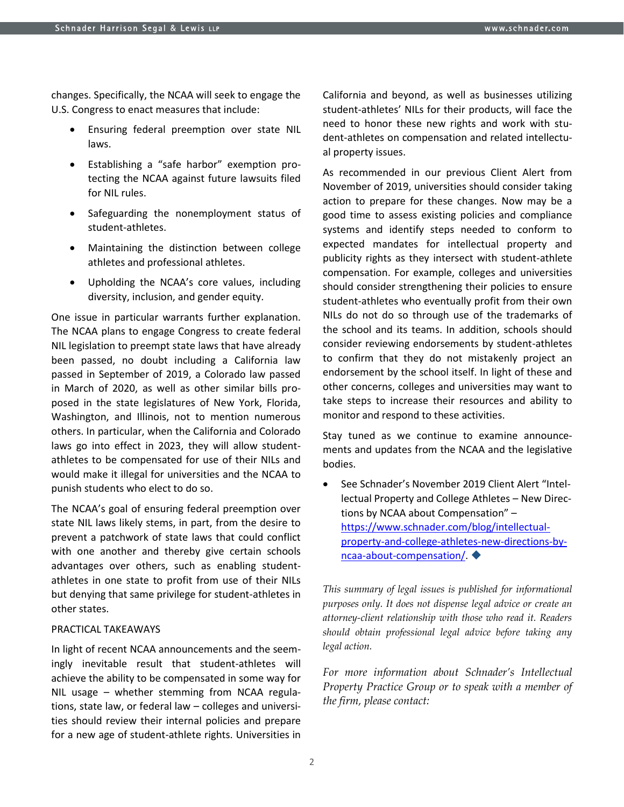changes. Specifically, the NCAA will seek to engage the U.S. Congress to enact measures that include:

- Ensuring federal preemption over state NIL laws.
- Establishing a "safe harbor" exemption protecting the NCAA against future lawsuits filed for NIL rules.
- Safeguarding the nonemployment status of student-athletes.
- Maintaining the distinction between college athletes and professional athletes.
- Upholding the NCAA's core values, including diversity, inclusion, and gender equity.

One issue in particular warrants further explanation. The NCAA plans to engage Congress to create federal NIL legislation to preempt state laws that have already been passed, no doubt including a California law passed in September of 2019, a Colorado law passed in March of 2020, as well as other similar bills proposed in the state legislatures of New York, Florida, Washington, and Illinois, not to mention numerous others. In particular, when the California and Colorado laws go into effect in 2023, they will allow studentathletes to be compensated for use of their NILs and would make it illegal for universities and the NCAA to punish students who elect to do so.

The NCAA's goal of ensuring federal preemption over state NIL laws likely stems, in part, from the desire to prevent a patchwork of state laws that could conflict with one another and thereby give certain schools advantages over others, such as enabling studentathletes in one state to profit from use of their NILs but denying that same privilege for student-athletes in other states.

## PRACTICAL TAKEAWAYS

In light of recent NCAA announcements and the seemingly inevitable result that student-athletes will achieve the ability to be compensated in some way for NIL usage – whether stemming from NCAA regulations, state law, or federal law – colleges and universities should review their internal policies and prepare for a new age of student-athlete rights. Universities in

California and beyond, as well as businesses utilizing student-athletes' NILs for their products, will face the need to honor these new rights and work with student-athletes on compensation and related intellectual property issues.

As recommended in our previous Client Alert from November of 2019, universities should consider taking action to prepare for these changes. Now may be a good time to assess existing policies and compliance systems and identify steps needed to conform to expected mandates for intellectual property and publicity rights as they intersect with student-athlete compensation. For example, colleges and universities should consider strengthening their policies to ensure student-athletes who eventually profit from their own NILs do not do so through use of the trademarks of the school and its teams. In addition, schools should consider reviewing endorsements by student-athletes to confirm that they do not mistakenly project an endorsement by the school itself. In light of these and other concerns, colleges and universities may want to take steps to increase their resources and ability to monitor and respond to these activities.

Stay tuned as we continue to examine announcements and updates from the NCAA and the legislative bodies.

 See Schnader's November 2019 Client Alert "Intellectual Property and College Athletes – New Directions by NCAA about Compensation" – [https://www.schnader.com/blog/intellectual](https://www.schnader.com/blog/intellectual-property-and-college-athletes-new-directions-by-ncaa-about-compensation/)[property-and-college-athletes-new-directions-by](https://www.schnader.com/blog/intellectual-property-and-college-athletes-new-directions-by-ncaa-about-compensation/)[ncaa-about-compensation/.](https://www.schnader.com/blog/intellectual-property-and-college-athletes-new-directions-by-ncaa-about-compensation/)

*This summary of legal issues is published for informational purposes only. It does not dispense legal advice or create an attorney-client relationship with those who read it. Readers should obtain professional legal advice before taking any legal action.*

*For more information about Schnader's Intellectual Property Practice Group or to speak with a member of the firm, please contact:*